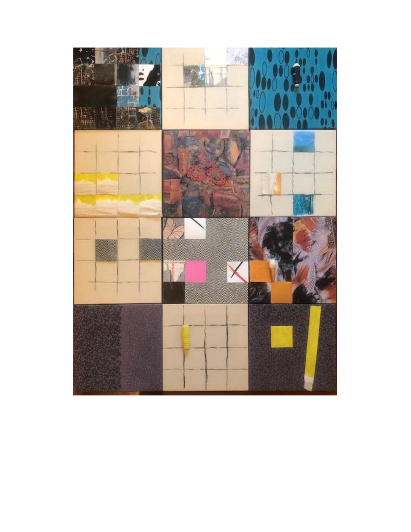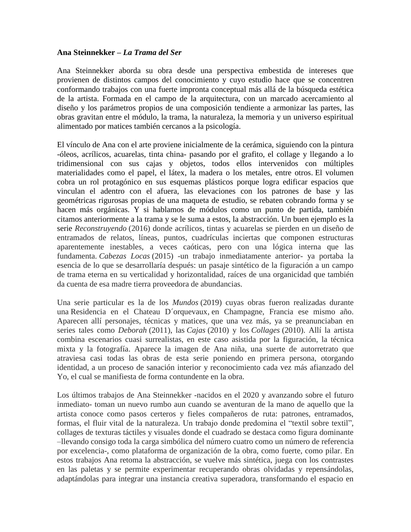## **Ana Steinnekker –** *La Trama del Ser*

Ana Steinnekker aborda su obra desde una perspectiva embestida de intereses que provienen de distintos campos del conocimiento y cuyo estudio hace que se concentren conformando trabajos con una fuerte impronta conceptual más allá de la búsqueda estética de la artista. Formada en el campo de la arquitectura, con un marcado acercamiento al diseño y los parámetros propios de una composición tendiente a armonizar las partes, las obras gravitan entre el módulo, la trama, la naturaleza, la memoria y un universo espiritual alimentado por matices también cercanos a la psicología.

El vínculo de Ana con el arte proviene inicialmente de la cerámica, siguiendo con la pintura -óleos, acrílicos, acuarelas, tinta china- pasando por el grafito, el collage y llegando a lo tridimensional con sus cajas y objetos, todos ellos intervenidos con múltiples materialidades como el papel, el látex, la madera o los metales, entre otros. El volumen cobra un rol protagónico en sus esquemas plásticos porque logra edificar espacios que vinculan el adentro con el afuera, las elevaciones con los patrones de base y las geométricas rigurosas propias de una maqueta de estudio, se rebaten cobrando forma y se hacen más orgánicas. Y si hablamos de módulos como un punto de partida, también citamos anteriormente a la trama y se le suma a estos, la abstracción. Un buen ejemplo es la serie *Reconstruyendo* (2016) donde acrílicos, tintas y acuarelas se pierden en un diseño de entramados de relatos, líneas, puntos, cuadrículas inciertas que componen estructuras aparentemente inestables, a veces caóticas, pero con una lógica interna que las fundamenta. *Cabezas Locas* (2015) -un trabajo inmediatamente anterior- ya portaba la esencia de lo que se desarrollaría después: un pasaje sintético de la figuración a un campo de trama eterna en su verticalidad y horizontalidad, raíces de una organicidad que también da cuenta de esa madre tierra proveedora de abundancias.

Una serie particular es la de los *Mundos* (2019) cuyas obras fueron realizadas durante una Residencia en el Chateau D´orquevaux, en Champagne, Francia ese mismo año. Aparecen allí personajes, técnicas y matices, que una vez más, ya se preanunciaban en series tales como *Deborah* (2011), las *Cajas* (2010) y los *Collages* (2010). Allí la artista combina escenarios cuasi surrealistas, en este caso asistida por la figuración, la técnica mixta y la fotografía. Aparece la imagen de Ana niña, una suerte de autorretrato que atraviesa casi todas las obras de esta serie poniendo en primera persona, otorgando identidad, a un proceso de sanación interior y reconocimiento cada vez más afianzado del Yo, el cual se manifiesta de forma contundente en la obra.

Los últimos trabajos de Ana Steinnekker -nacidos en el 2020 y avanzando sobre el futuro inmediato- toman un nuevo rumbo aun cuando se aventuran de la mano de aquello que la artista conoce como pasos certeros y fieles compañeros de ruta: patrones, entramados, formas, el fluir vital de la naturaleza. Un trabajo donde predomina el "textil sobre textil", collages de texturas táctiles y visuales donde el cuadrado se destaca como figura dominante –llevando consigo toda la carga simbólica del número cuatro como un número de referencia por excelencia-, como plataforma de organización de la obra, como fuerte, como pilar. En estos trabajos Ana retoma la abstracción, se vuelve más sintética, juega con los contrastes en las paletas y se permite experimentar recuperando obras olvidadas y repensándolas, adaptándolas para integrar una instancia creativa superadora, transformando el espacio en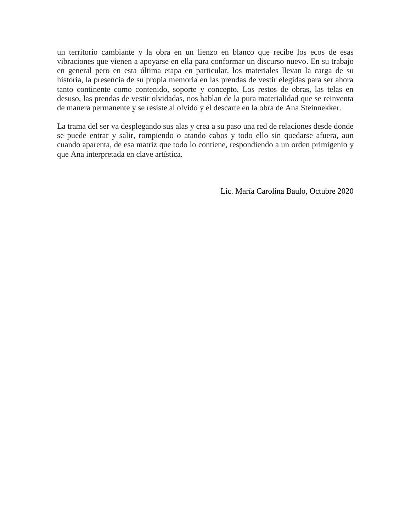un territorio cambiante y la obra en un lienzo en blanco que recibe los ecos de esas vibraciones que vienen a apoyarse en ella para conformar un discurso nuevo. En su trabajo en general pero en esta última etapa en particular, los materiales llevan la carga de su historia, la presencia de su propia memoria en las prendas de vestir elegidas para ser ahora tanto continente como contenido, soporte y concepto. Los restos de obras, las telas en desuso, las prendas de vestir olvidadas, nos hablan de la pura materialidad que se reinventa de manera permanente y se resiste al olvido y el descarte en la obra de Ana Steinnekker.

La trama del ser va desplegando sus alas y crea a su paso una red de relaciones desde donde se puede entrar y salir, rompiendo o atando cabos y todo ello sin quedarse afuera, aun cuando aparenta, de esa matriz que todo lo contiene, respondiendo a un orden primigenio y que Ana interpretada en clave artística.

Lic. María Carolina Baulo, Octubre 2020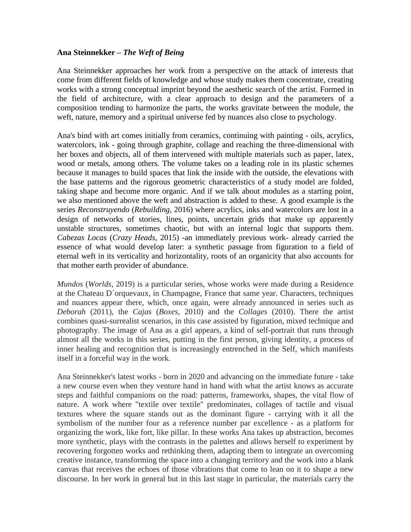## **Ana Steinnekker –** *The Weft of Being*

Ana Steinnekker approaches her work from a perspective on the attack of interests that come from different fields of knowledge and whose study makes them concentrate, creating works with a strong conceptual imprint beyond the aesthetic search of the artist. Formed in the field of architecture, with a clear approach to design and the parameters of a composition tending to harmonize the parts, the works gravitate between the module, the weft, nature, memory and a spiritual universe fed by nuances also close to psychology.

Ana's bind with art comes initially from ceramics, continuing with painting - oils, acrylics, watercolors, ink - going through graphite, collage and reaching the three-dimensional with her boxes and objects, all of them intervened with multiple materials such as paper, latex, wood or metals, among others. The volume takes on a leading role in its plastic schemes because it manages to build spaces that link the inside with the outside, the elevations with the base patterns and the rigorous geometric characteristics of a study model are folded, taking shape and become more organic. And if we talk about modules as a starting point, we also mentioned above the weft and abstraction is added to these. A good example is the series *Reconstruyendo* (*Rebuilding,* 2016) where acrylics, inks and watercolors are lost in a design of networks of stories, lines, points, uncertain grids that make up apparently unstable structures, sometimes chaotic, but with an internal logic that supports them. *Cabezas Locas* (*Crazy Heads,* 2015) -an immediately previous work- already carried the essence of what would develop later: a synthetic passage from figuration to a field of eternal weft in its verticality and horizontality, roots of an organicity that also accounts for that mother earth provider of abundance.

*Mundos* (*Worlds,* 2019) is a particular series, whose works were made during a Residence at the Chateau D´orquevaux, in Champagne, France that same year. Characters, techniques and nuances appear there, which, once again, were already announced in series such as *Deborah* (2011), the *Cajas* (*Boxes,* 2010) and the *Collages* (2010). There the artist combines quasi-surrealist scenarios, in this case assisted by figuration, mixed technique and photography. The image of Ana as a girl appears, a kind of self-portrait that runs through almost all the works in this series, putting in the first person, giving identity, a process of inner healing and recognition that is increasingly entrenched in the Self, which manifests itself in a forceful way in the work.

Ana Steinnekker's latest works - born in 2020 and advancing on the immediate future - take a new course even when they venture hand in hand with what the artist knows as accurate steps and faithful companions on the road: patterns, frameworks, shapes, the vital flow of nature. A work where "textile over textile" predominates, collages of tactile and visual textures where the square stands out as the dominant figure - carrying with it all the symbolism of the number four as a reference number par excellence - as a platform for organizing the work, like fort, like pillar. In these works Ana takes up abstraction, becomes more synthetic, plays with the contrasts in the palettes and allows herself to experiment by recovering forgotten works and rethinking them, adapting them to integrate an overcoming creative instance, transforming the space into a changing territory and the work into a blank canvas that receives the echoes of those vibrations that come to lean on it to shape a new discourse. In her work in general but in this last stage in particular, the materials carry the